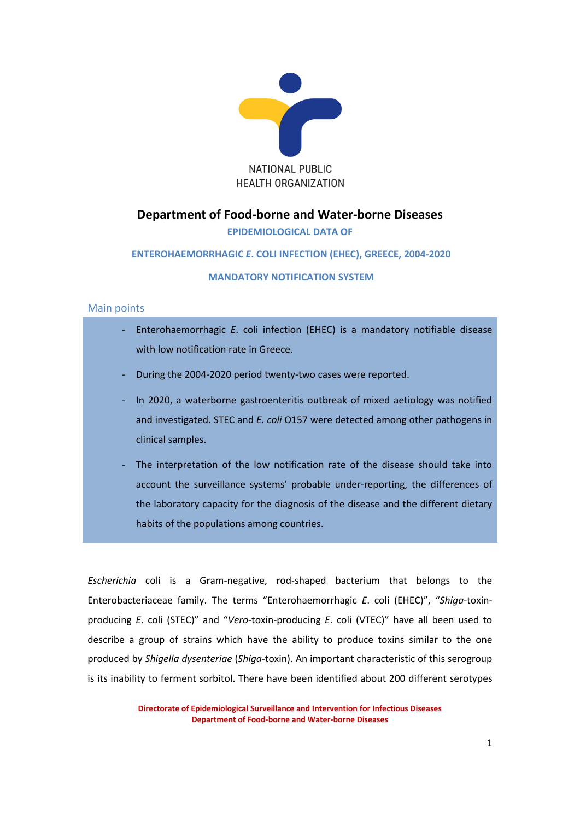

# **Department of Food-borne and Water-borne Diseases**

## **EPIDEMIOLOGICAL DATA OF**

### **ENTEROHAEMORRHAGIC** *E***. COLI INFECTION (EHEC), GREECE, 2004-2020**

#### **MANDATORY NOTIFICATION SYSTEM**

#### Main points

- Enterohaemorrhagic *E*. coli infection (EHEC) is a mandatory notifiable disease with low notification rate in Greece. During the 2004-2020 period twenty-two cases were reported. - In 2020, a waterborne gastroenteritis outbreak of mixed aetiology was notified and investigated. STEC and *E. coli* O157 were detected among other pathogens in clinical samples. The interpretation of the low notification rate of the disease should take into
	- account the surveillance systems' probable under-reporting, the differences of the laboratory capacity for the diagnosis of the disease and the different dietary habits of the populations among countries.

*Escherichia* coli is a [Gram-negative,](http://en.wikipedia.org/wiki/Gram-negative) [rod-shaped](http://en.wikipedia.org/wiki/Bacillus_(shape)) [bacterium](http://en.wikipedia.org/wiki/Bacterium) that belongs to the Enterobacteriaceae family. The terms "Εnterohaemorrhagic *E*. coli (EHEC)", "*Shiga*-toxinproducing *E*. coli (STEC)" and "*Vero*-toxin-producing *E*. coli (VTEC)" have all been used to describe a group of strains which have the ability to produce toxins similar to the one produced by *Shigella dysenteriae* (*Shiga*-toxin). An important characteristic of this serogroup is its inability to ferment sorbitol. There have been identified about 200 different serotypes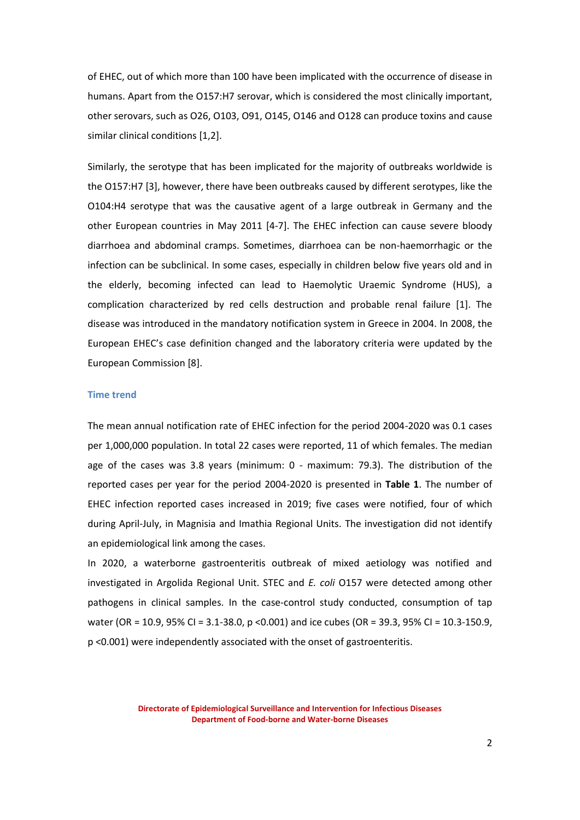of EHEC, out of which more than 100 have been implicated with the occurrence of disease in humans. Apart from the Ο157:Η7 serovar, which is considered the most clinically important, other serovars, such as Ο26, Ο103, Ο91, Ο145, Ο146 and O128 can produce toxins and cause similar clinical conditions [1,2].

Similarly, the serotype that has been implicated for the majority of outbreaks worldwide is the O157:H7 [3], however, there have been outbreaks caused by different serotypes, like the O104:H4 serotype that was the causative agent of a large outbreak in Germany and the other European countries in May 2011 [4-7]. The EHEC infection can cause severe bloody diarrhoea and abdominal cramps. Sometimes, diarrhoea can be non-haemorrhagic or the infection can be subclinical. In some cases, especially in children below five years old and in the elderly, becoming infected can lead to Haemolytic Uraemic Syndrome (HUS), a complication characterized by red cells destruction and probable renal failure [1]. The disease was introduced in the mandatory notification system in Greece in 2004. In 2008, the European EHEC's case definition changed and the laboratory criteria were updated by the European Commission [8].

#### **Time trend**

The mean annual notification rate of EHEC infection for the period 2004-2020 was 0.1 cases per 1,000,000 population. In total 22 cases were reported, 11 of which females. The median age of the cases was 3.8 years (minimum: 0 - maximum: 79.3). The distribution of the reported cases per year for the period 2004-2020 is presented in **Table 1**. The number of EHEC infection reported cases increased in 2019; five cases were notified, four of which during April-July, in Magnisia and Imathia Regional Units. The investigation did not identify an epidemiological link among the cases.

In 2020, a waterborne gastroenteritis outbreak of mixed aetiology was notified and investigated in Argolida Regional Unit. STEC and *E. coli* O157 were detected among other pathogens in clinical samples. In the case-control study conducted, consumption of tap water (OR = 10.9, 95% CI = 3.1-38.0, p <0.001) and ice cubes (OR = 39.3, 95% CI = 10.3-150.9, p <0.001) were independently associated with the onset of gastroenteritis.

> **Directorate of Epidemiological Surveillance and Intervention for Infectious Diseases Department of Food-borne and Water-borne Diseases**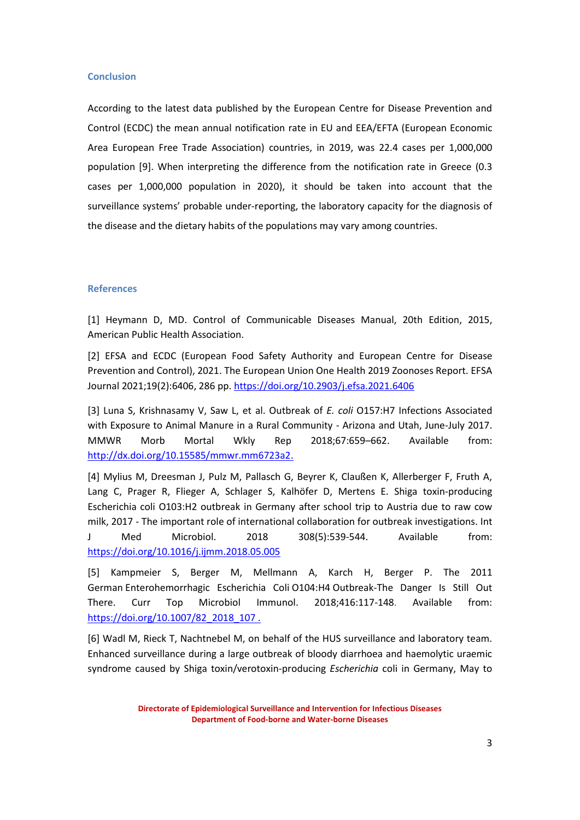#### **Conclusion**

According to the latest data published by the European Centre for Disease Prevention and Control (ECDC) the mean annual notification rate in EU and EEA/EFTA (European Economic Area European Free Trade Association) countries, in 2019, was 22.4 cases per 1,000,000 population [9]. When interpreting the difference from the notification rate in Greece (0.3 cases per 1,000,000 population in 2020), it should be taken into account that the surveillance systems' probable under-reporting, the laboratory capacity for the diagnosis of the disease and the dietary habits of the populations may vary among countries.

#### **References**

[1] Heymann D, MD. Control of Communicable Diseases Manual, 20th Edition, 2015, American Public Health Association.

[2] EFSA and ECDC (European Food Safety Authority and European Centre for Disease Prevention and Control), 2021. The European Union One Health 2019 Zoonoses Report. EFSA Journal 2021;19(2):6406, 286 pp. https://doi.org/10.2903/j.efsa.2021.6406

[3] Luna S, Krishnasamy V, Saw L, et al. Outbreak of *E. coli* O157:H7 Infections Associated with Exposure to Animal Manure in a Rural Community - Arizona and Utah, June-July 2017. MMWR Morb Mortal Wkly Rep 2018;67:659–662. Available from: [http://dx.doi.org/10.15585/mmwr.mm6723a2.](http://dx.doi.org/10.15585/mmwr.mm6723a2)

[4] Mylius M, Dreesman J, Pulz M, Pallasch G, Beyrer K, Claußen K, Allerberger F, Fruth A, Lang C, Prager R, Flieger A, Schlager S, Kalhöfer D, Mertens E. Shiga toxin-producing Escherichia coli O103:H2 outbreak in Germany after school trip to Austria due to raw cow milk, 2017 - The important role of international collaboration for outbreak investigations. Int J Med Microbiol. 2018 308(5):539-544. Available from: <https://doi.org/10.1016/j.ijmm.2018.05.005>

[5] Kampmeier S, Berger M, Mellmann A, Karch H, Berger P. [The 2011](https://www.ncbi.nlm.nih.gov/pubmed/30062592)  German [Enterohemorrhagic Escherichia Coli](https://www.ncbi.nlm.nih.gov/pubmed/30062592) O104:H4 Outbreak-The Danger Is Still Out [There.](https://www.ncbi.nlm.nih.gov/pubmed/30062592) Curr Top Microbiol Immunol. 2018;416:117-148. Available from: [https://doi.org/10.1007/82\\_2018\\_107](https://doi.org/10.1007/82_2018_107) .

[6] Wadl M, Rieck T, Nachtnebel M, on behalf of the HUS surveillance and laboratory team. Enhanced surveillance during a large outbreak of bloody diarrhoea and haemolytic uraemic syndrome caused by Shiga toxin/verotoxin-producing *Escherichia* coli in Germany, May to

**Directorate of Epidemiological Surveillance and Intervention for Infectious Diseases Department of Food-borne and Water-borne Diseases**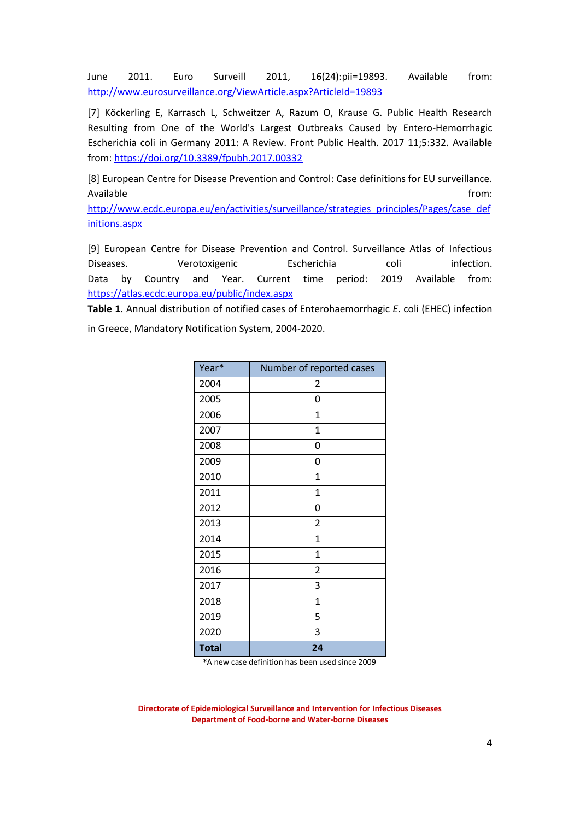June 2011. Euro Surveill 2011, 16(24):pii=19893. Available from: <http://www.eurosurveillance.org/ViewArticle.aspx?ArticleId=19893>

[7] Köckerling E, Karrasch L, Schweitzer A, Razum O, Krause G. Public Health Research Resulting from One of the World's Largest Outbreaks Caused by Entero-Hemorrhagic Escherichia coli in Germany 2011: A Review. Front Public Health. 2017 11;5:332. Available from:<https://doi.org/10.3389/fpubh.2017.00332>

[8] European Centre for Disease Prevention and Control: Case definitions for EU surveillance. Available from:

[http://www.ecdc.europa.eu/en/activities/surveillance/strategies\\_principles/Pages/case\\_def](http://www.ecdc.europa.eu/en/activities/surveillance/strategies_principles/Pages/case_definitions.aspx) [initions.aspx](http://www.ecdc.europa.eu/en/activities/surveillance/strategies_principles/Pages/case_definitions.aspx)

[9] European Centre for Disease Prevention and Control. Surveillance Atlas of Infectious Diseases. Verotoxigenic Escherichia coli infection. Data by Country and Year. Current time period: 2019 Available from: https://atlas.ecdc.europa.eu/public/index.aspx

**Table 1.** Annual distribution of notified cases of Enterohaemorrhagic *E*. coli (EHEC) infection in Greece, Mandatory Notification System, 2004-2020.

| Year*        | Number of reported cases |
|--------------|--------------------------|
| 2004         | 2                        |
| 2005         | 0                        |
| 2006         | $\mathbf{1}$             |
| 2007         | 1                        |
| 2008         | 0                        |
| 2009         | 0                        |
| 2010         | $\mathbf{1}$             |
| 2011         | $\overline{1}$           |
| 2012         | 0                        |
| 2013         | $\overline{2}$           |
| 2014         | $\overline{1}$           |
| 2015         | $\overline{1}$           |
| 2016         | $\overline{2}$           |
| 2017         | 3                        |
| 2018         | 1                        |
| 2019         | 5                        |
| 2020         | 3                        |
| <b>Total</b> | 24                       |

\*A new case definition has been used since 2009

**Directorate of Epidemiological Surveillance and Intervention for Infectious Diseases Department of Food-borne and Water-borne Diseases**